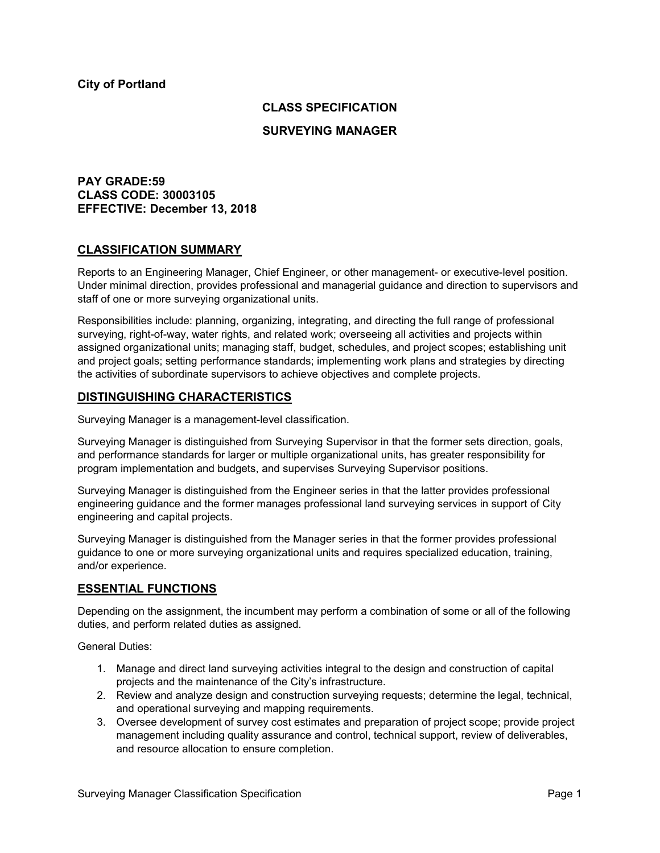## **CLASS SPECIFICATION**

### **SURVEYING MANAGER**

## **PAY GRADE:59 CLASS CODE: 30003105 EFFECTIVE: December 13, 2018**

### **CLASSIFICATION SUMMARY**

Reports to an Engineering Manager, Chief Engineer, or other management- or executive-level position. Under minimal direction, provides professional and managerial guidance and direction to supervisors and staff of one or more surveying organizational units.

Responsibilities include: planning, organizing, integrating, and directing the full range of professional surveying, right-of-way, water rights, and related work; overseeing all activities and projects within assigned organizational units; managing staff, budget, schedules, and project scopes; establishing unit and project goals; setting performance standards; implementing work plans and strategies by directing the activities of subordinate supervisors to achieve objectives and complete projects.

### **DISTINGUISHING CHARACTERISTICS**

Surveying Manager is a management-level classification.

Surveying Manager is distinguished from Surveying Supervisor in that the former sets direction, goals, and performance standards for larger or multiple organizational units, has greater responsibility for program implementation and budgets, and supervises Surveying Supervisor positions.

Surveying Manager is distinguished from the Engineer series in that the latter provides professional engineering guidance and the former manages professional land surveying services in support of City engineering and capital projects.

Surveying Manager is distinguished from the Manager series in that the former provides professional guidance to one or more surveying organizational units and requires specialized education, training, and/or experience.

## **ESSENTIAL FUNCTIONS**

Depending on the assignment, the incumbent may perform a combination of some or all of the following duties, and perform related duties as assigned.

General Duties:

- 1. Manage and direct land surveying activities integral to the design and construction of capital projects and the maintenance of the City's infrastructure.
- 2. Review and analyze design and construction surveying requests; determine the legal, technical, and operational surveying and mapping requirements.
- 3. Oversee development of survey cost estimates and preparation of project scope; provide project management including quality assurance and control, technical support, review of deliverables, and resource allocation to ensure completion.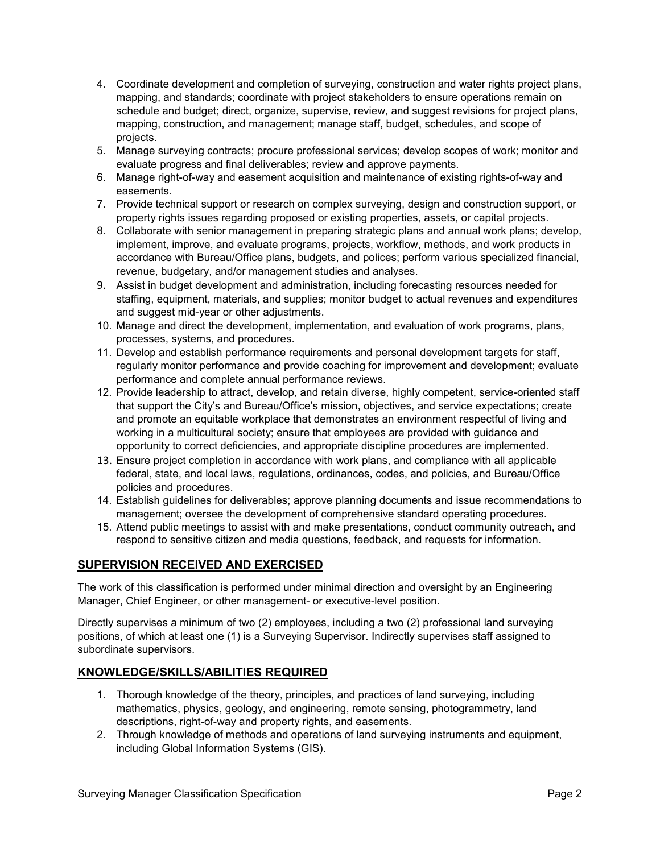- 4. Coordinate development and completion of surveying, construction and water rights project plans, mapping, and standards; coordinate with project stakeholders to ensure operations remain on schedule and budget; direct, organize, supervise, review, and suggest revisions for project plans, mapping, construction, and management; manage staff, budget, schedules, and scope of projects.
- 5. Manage surveying contracts; procure professional services; develop scopes of work; monitor and evaluate progress and final deliverables; review and approve payments.
- 6. Manage right-of-way and easement acquisition and maintenance of existing rights-of-way and easements.
- 7. Provide technical support or research on complex surveying, design and construction support, or property rights issues regarding proposed or existing properties, assets, or capital projects.
- 8. Collaborate with senior management in preparing strategic plans and annual work plans; develop, implement, improve, and evaluate programs, projects, workflow, methods, and work products in accordance with Bureau/Office plans, budgets, and polices; perform various specialized financial, revenue, budgetary, and/or management studies and analyses.
- 9. Assist in budget development and administration, including forecasting resources needed for staffing, equipment, materials, and supplies; monitor budget to actual revenues and expenditures and suggest mid-year or other adjustments.
- 10. Manage and direct the development, implementation, and evaluation of work programs, plans, processes, systems, and procedures.
- 11. Develop and establish performance requirements and personal development targets for staff, regularly monitor performance and provide coaching for improvement and development; evaluate performance and complete annual performance reviews.
- 12. Provide leadership to attract, develop, and retain diverse, highly competent, service-oriented staff that support the City's and Bureau/Office's mission, objectives, and service expectations; create and promote an equitable workplace that demonstrates an environment respectful of living and working in a multicultural society; ensure that employees are provided with guidance and opportunity to correct deficiencies, and appropriate discipline procedures are implemented.
- 13. Ensure project completion in accordance with work plans, and compliance with all applicable federal, state, and local laws, regulations, ordinances, codes, and policies, and Bureau/Office policies and procedures.
- 14. Establish guidelines for deliverables; approve planning documents and issue recommendations to management; oversee the development of comprehensive standard operating procedures.
- 15. Attend public meetings to assist with and make presentations, conduct community outreach, and respond to sensitive citizen and media questions, feedback, and requests for information.

# **SUPERVISION RECEIVED AND EXERCISED**

The work of this classification is performed under minimal direction and oversight by an Engineering Manager, Chief Engineer, or other management- or executive-level position.

Directly supervises a minimum of two (2) employees, including a two (2) professional land surveying positions, of which at least one (1) is a Surveying Supervisor. Indirectly supervises staff assigned to subordinate supervisors.

# **KNOWLEDGE/SKILLS/ABILITIES REQUIRED**

- 1. Thorough knowledge of the theory, principles, and practices of land surveying, including mathematics, physics, geology, and engineering, remote sensing, photogrammetry, land descriptions, right-of-way and property rights, and easements.
- 2. Through knowledge of methods and operations of land surveying instruments and equipment, including Global Information Systems (GIS).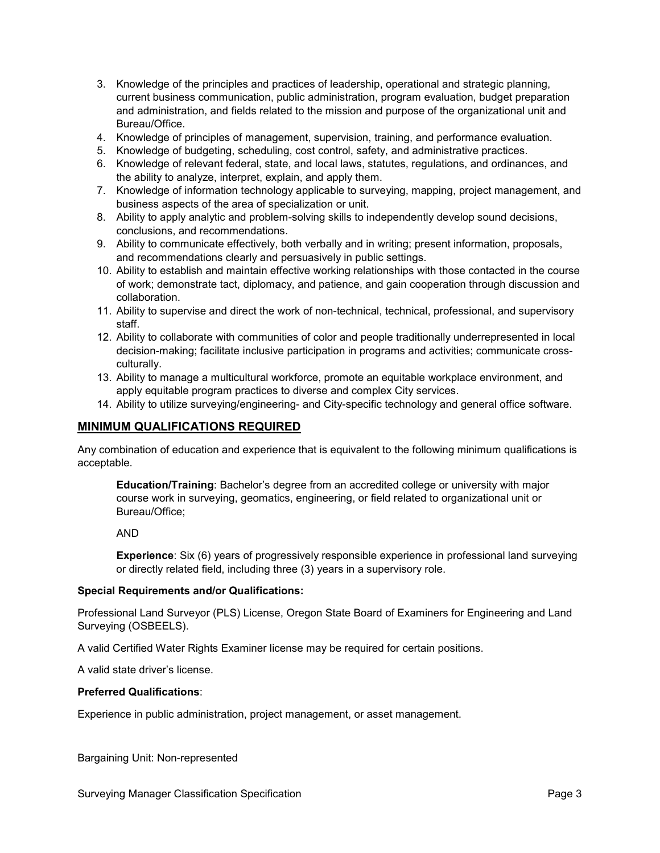- 3. Knowledge of the principles and practices of leadership, operational and strategic planning, current business communication, public administration, program evaluation, budget preparation and administration, and fields related to the mission and purpose of the organizational unit and Bureau/Office.
- 4. Knowledge of principles of management, supervision, training, and performance evaluation.
- 5. Knowledge of budgeting, scheduling, cost control, safety, and administrative practices.
- 6. Knowledge of relevant federal, state, and local laws, statutes, regulations, and ordinances, and the ability to analyze, interpret, explain, and apply them.
- 7. Knowledge of information technology applicable to surveying, mapping, project management, and business aspects of the area of specialization or unit.
- 8. Ability to apply analytic and problem-solving skills to independently develop sound decisions, conclusions, and recommendations.
- 9. Ability to communicate effectively, both verbally and in writing; present information, proposals, and recommendations clearly and persuasively in public settings.
- 10. Ability to establish and maintain effective working relationships with those contacted in the course of work; demonstrate tact, diplomacy, and patience, and gain cooperation through discussion and collaboration.
- 11. Ability to supervise and direct the work of non-technical, technical, professional, and supervisory staff.
- 12. Ability to collaborate with communities of color and people traditionally underrepresented in local decision-making; facilitate inclusive participation in programs and activities; communicate crossculturally.
- 13. Ability to manage a multicultural workforce, promote an equitable workplace environment, and apply equitable program practices to diverse and complex City services.
- 14. Ability to utilize surveying/engineering- and City-specific technology and general office software.

## **MINIMUM QUALIFICATIONS REQUIRED**

Any combination of education and experience that is equivalent to the following minimum qualifications is acceptable.

**Education/Training**: Bachelor's degree from an accredited college or university with major course work in surveying, geomatics, engineering, or field related to organizational unit or Bureau/Office;

AND

**Experience**: Six (6) years of progressively responsible experience in professional land surveying or directly related field, including three (3) years in a supervisory role.

#### **Special Requirements and/or Qualifications:**

Professional Land Surveyor (PLS) License, Oregon State Board of Examiners for Engineering and Land Surveying (OSBEELS).

A valid Certified Water Rights Examiner license may be required for certain positions.

A valid state driver's license.

### **Preferred Qualifications**:

Experience in public administration, project management, or asset management.

Bargaining Unit: Non-represented